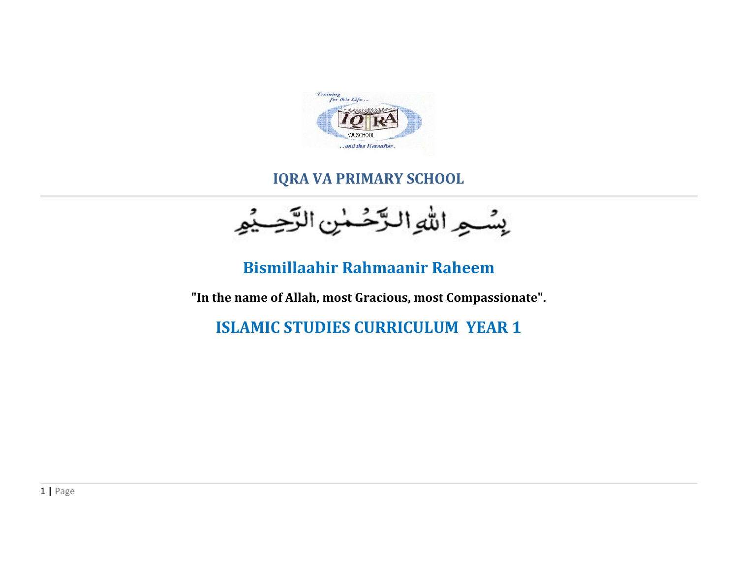

## **IQRA VA PRIMARY SCHOOL**

بِسُواللهِ الزَّحُسٰنِ الزَّحِيْهِ

## **Bismillaahir Rahmaanir Raheem**

**"In the name of Allah, most Gracious, most Compassionate".**

**ISLAMIC STUDIES CURRICULUM YEAR 1**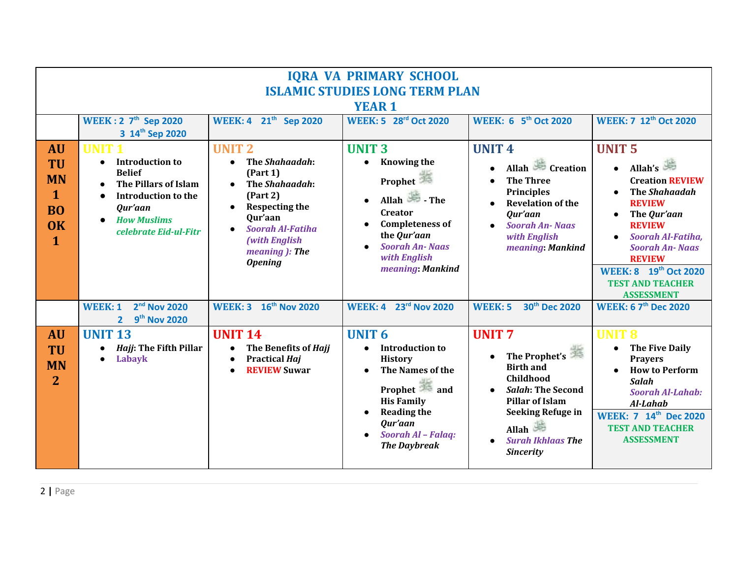| <b>IQRA VA PRIMARY SCHOOL</b><br><b>ISLAMIC STUDIES LONG TERM PLAN</b>                |                                                                                                                                                                                                         |                                                                                                                                                                                                           |                                                                                                                                                                                                                                                       |                                                                                                                                                                                                                        |                                                                                                                                                                                                                                                                                  |  |  |  |
|---------------------------------------------------------------------------------------|---------------------------------------------------------------------------------------------------------------------------------------------------------------------------------------------------------|-----------------------------------------------------------------------------------------------------------------------------------------------------------------------------------------------------------|-------------------------------------------------------------------------------------------------------------------------------------------------------------------------------------------------------------------------------------------------------|------------------------------------------------------------------------------------------------------------------------------------------------------------------------------------------------------------------------|----------------------------------------------------------------------------------------------------------------------------------------------------------------------------------------------------------------------------------------------------------------------------------|--|--|--|
| <b>YEAR 1</b>                                                                         |                                                                                                                                                                                                         |                                                                                                                                                                                                           |                                                                                                                                                                                                                                                       |                                                                                                                                                                                                                        |                                                                                                                                                                                                                                                                                  |  |  |  |
|                                                                                       | <b>WEEK: 2 7<sup>th</sup> Sep 2020</b><br>3 14th Sep 2020                                                                                                                                               | WEEK: 4 21 <sup>th</sup> Sep 2020                                                                                                                                                                         | <b>WEEK: 5 28rd Oct 2020</b>                                                                                                                                                                                                                          | <b>WEEK: 6 5th Oct 2020</b>                                                                                                                                                                                            | <b>WEEK: 7 12th Oct 2020</b>                                                                                                                                                                                                                                                     |  |  |  |
| <b>AU</b><br>TU<br><b>MN</b><br>$\mathbf{1}$<br><b>BO</b><br><b>OK</b><br>$\mathbf 1$ | <b>UNIT</b><br><b>Introduction to</b><br>$\bullet$<br><b>Belief</b><br><b>The Pillars of Islam</b><br>$\bullet$<br><b>Introduction to the</b><br>Qur'aan<br><b>How Muslims</b><br>celebrate Eid-ul-Fitr | <b>UNIT 2</b><br>The Shahaadah:<br>$\bullet$<br>(Part 1)<br>The Shahaadah:<br>(Part 2)<br><b>Respecting the</b><br>Qur'aan<br><b>Soorah Al-Fatiha</b><br>(with English<br>meaning): The<br><b>Opening</b> | <b>UNIT 3</b><br><b>Knowing the</b><br>$\bullet$<br><b>Prophet</b><br>Allah $\overline{\mathscr{L}}$ - The<br>$\bullet$<br>Creator<br><b>Completeness of</b><br>$\bullet$<br>the Qur'aan<br><b>Soorah An-Naas</b><br>with English<br>meaning: Mankind | <b>UNIT 4</b><br>Allah Creation<br><b>The Three</b><br><b>Principles</b><br><b>Revelation of the</b><br>Qur'aan<br><b>Soorah An-Naas</b><br>with English<br>meaning: Mankind                                           | <b>UNIT 5</b><br>Allah's<br><b>Creation REVIEW</b><br><b>The Shahaadah</b><br><b>REVIEW</b><br>The Qur'aan<br><b>REVIEW</b><br>Soorah Al-Fatiha,<br>$\bullet$<br><b>Soorah An-Naas</b><br><b>REVIEW</b><br>WEEK: 8 19th Oct 2020<br><b>TEST AND TEACHER</b><br><b>ASSESSMENT</b> |  |  |  |
|                                                                                       | 2 <sup>nd</sup> Nov 2020<br><b>WEEK: 1</b><br>9 <sup>th</sup> Nov 2020<br>$\overline{2}$                                                                                                                | 16 <sup>th</sup> Nov 2020<br>WEEK: 3                                                                                                                                                                      | 23rd Nov 2020<br><b>WEEK: 4</b>                                                                                                                                                                                                                       | 30 <sup>th</sup> Dec 2020<br><b>WEEK: 5</b>                                                                                                                                                                            | <b>WEEK: 6 7<sup>th</sup> Dec 2020</b>                                                                                                                                                                                                                                           |  |  |  |
| <b>AU</b><br>TU<br><b>MN</b><br>$\overline{2}$                                        | <b>UNIT 13</b><br>Hajj: The Fifth Pillar<br>Labayk<br>$\bullet$                                                                                                                                         | <b>UNIT 14</b><br>The Benefits of Hajj<br><b>Practical Haj</b><br>$\bullet$<br><b>REVIEW Suwar</b>                                                                                                        | <b>UNIT 6</b><br><b>Introduction to</b><br><b>History</b><br>The Names of the<br>$\bullet$<br>Prophet and<br><b>His Family</b><br><b>Reading the</b><br>$\bullet$<br>Qur'aan<br>Soorah Al - Falaq:<br><b>The Daybreak</b>                             | <b>UNIT7</b><br>The Prophet's<br><b>Birth and</b><br>Childhood<br><b>Salah: The Second</b><br><b>Pillar of Islam</b><br><b>Seeking Refuge in</b><br>Allah<br><b>Surah Ikhlaas The</b><br>$\bullet$<br><b>Sincerity</b> | <b>UNIT 8</b><br><b>The Five Daily</b><br><b>Prayers</b><br><b>How to Perform</b><br><b>Salah</b><br><b>Soorah Al-Lahab:</b><br>Al-Lahab<br>WEEK: 7 14th Dec 2020<br><b>TEST AND TEACHER</b><br><b>ASSESSMENT</b>                                                                |  |  |  |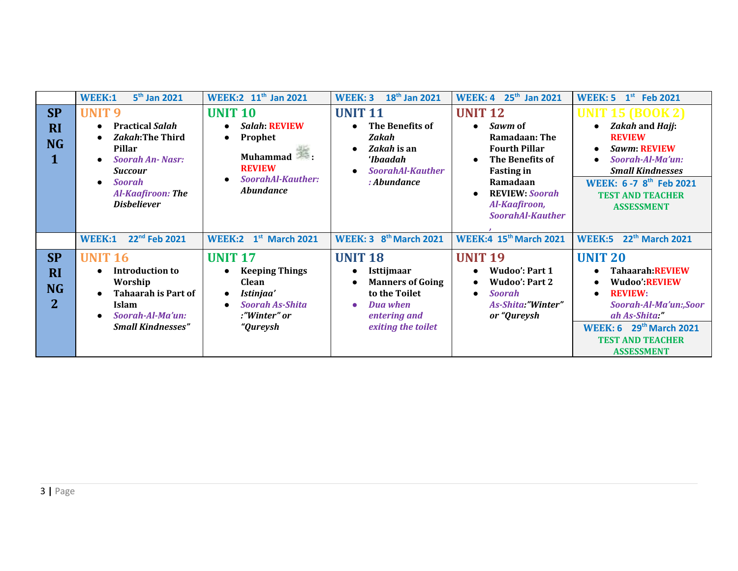|                                                       | 5 <sup>th</sup> Jan 2021<br>WEEK:1                                                                                                                                                                                          | WEEK:2 11 <sup>th</sup> Jan 2021                                                                                                            | 18 <sup>th</sup> Jan 2021<br><b>WEEK: 3</b>                                                                                              | <b>WEEK: 4 25th Jan 2021</b>                                                                                                                                                                                                              | $1st$ Feb 2021<br><b>WEEK: 5</b>                                                                                                                                                                                |
|-------------------------------------------------------|-----------------------------------------------------------------------------------------------------------------------------------------------------------------------------------------------------------------------------|---------------------------------------------------------------------------------------------------------------------------------------------|------------------------------------------------------------------------------------------------------------------------------------------|-------------------------------------------------------------------------------------------------------------------------------------------------------------------------------------------------------------------------------------------|-----------------------------------------------------------------------------------------------------------------------------------------------------------------------------------------------------------------|
| <b>SP</b><br><b>RI</b><br><b>NG</b>                   | <b>UNIT 9</b><br><b>Practical Salah</b><br>$\bullet$<br><b>Zakah:The Third</b><br><b>Pillar</b><br><b>Soorah An-Nasr:</b><br><b>Succour</b><br><b>Soorah</b><br>$\bullet$<br><b>Al-Kaafiroon: The</b><br><b>Disbeliever</b> | <b>UNIT 10</b><br><b>Salah: REVIEW</b><br>Prophet<br>$\bullet$<br>Muhammad<br><b>REVIEW</b><br><b>SoorahAl-Kauther:</b><br><b>Abundance</b> | <b>UNIT 11</b><br>The Benefits of<br>Zakah<br>Zakah is an<br>ʻIbaadah<br><b>SoorahAl-Kauther</b><br>: Abundance                          | <b>UNIT 12</b><br>Sawm of<br>$\bullet$<br><b>Ramadaan: The</b><br><b>Fourth Pillar</b><br>The Benefits of<br>$\bullet$<br><b>Fasting in</b><br>Ramadaan<br><b>REVIEW: Soorah</b><br>$\bullet$<br>Al-Kaafiroon,<br><b>SoorahAl-Kauther</b> | <b>UNIT 15 (BOOK 2)</b><br>Zakah and Hajj:<br><b>REVIEW</b><br><b>Sawm: REVIEW</b><br>Soorah-Al-Ma'un:<br><b>Small Kindnesses</b><br>WEEK: 6-7 8th Feb 2021<br><b>TEST AND TEACHER</b><br><b>ASSESSMENT</b>     |
|                                                       | 22 <sup>nd</sup> Feb 2021<br>WEEK:1                                                                                                                                                                                         | <b>WEEK:2</b> 1st March 2021                                                                                                                | <b>WEEK: 3 8th March 2021</b>                                                                                                            | <b>WEEK:4 15th March 2021</b>                                                                                                                                                                                                             | 22 <sup>th</sup> March 2021<br><b>WEEK:5</b>                                                                                                                                                                    |
| <b>SP</b><br><b>RI</b><br><b>NG</b><br>$\overline{2}$ | <b>UNIT 16</b><br><b>Introduction to</b><br>Worship<br><b>Tahaarah is Part of</b><br><b>Islam</b><br>Soorah-Al-Ma'un:<br><b>Small Kindnesses"</b>                                                                           | <b>UNIT 17</b><br><b>Keeping Things</b><br><b>Clean</b><br>Istinjaa'<br>$\bullet$<br><b>Soorah As-Shita</b><br>:"Winter" or<br>"Qureysh     | <b>UNIT 18</b><br><b>Isttijmaar</b><br><b>Manners of Going</b><br>to the Toilet<br><b>Dua when</b><br>entering and<br>exiting the toilet | <b>UNIT 19</b><br><b>Wudoo': Part 1</b><br>$\bullet$<br><b>Wudoo': Part 2</b><br>$\bullet$<br><b>Soorah</b><br>$\bullet$<br>As-Shita:"Winter"<br>or "Qureysh                                                                              | <b>UNIT 20</b><br>Tahaarah:REVIEW<br><b>Wudoo' REVIEW</b><br><b>REVIEW:</b><br>Soorah-Al-Ma'un:,Soor<br>ah As-Shita "<br>29 <sup>th</sup> March 2021<br>WEEK: 6<br><b>TEST AND TEACHER</b><br><b>ASSESSMENT</b> |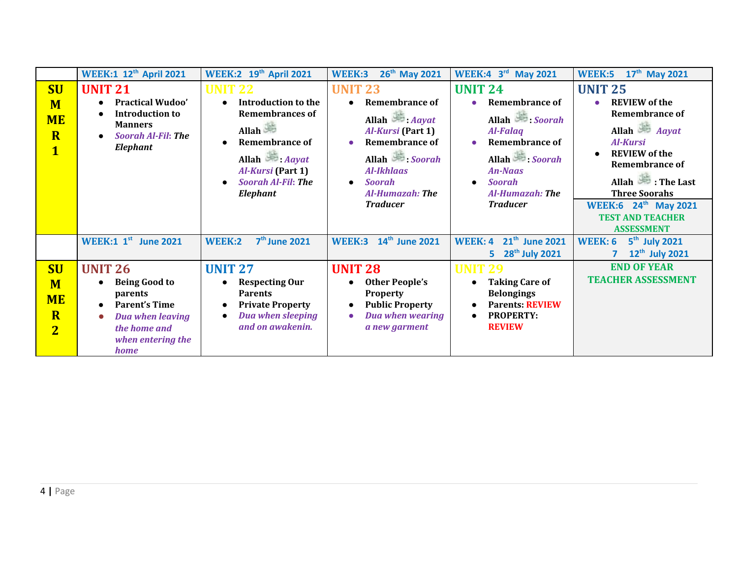|                                                                                   | <b>WEEK:1 12th April 2021</b>                                                                                                                                               | <b>WEEK:2</b> 19th April 2021                                                                                                                                                         | 26 <sup>th</sup> May 2021<br>WEEK:3                                                                                                                                                                                             | WEEK:4 $3rd$<br><b>May 2021</b>                                                                                                                                                                           | 17 <sup>th</sup> May 2021<br><b>WEEK:5</b>                                                                                                                                                                                                                                                |
|-----------------------------------------------------------------------------------|-----------------------------------------------------------------------------------------------------------------------------------------------------------------------------|---------------------------------------------------------------------------------------------------------------------------------------------------------------------------------------|---------------------------------------------------------------------------------------------------------------------------------------------------------------------------------------------------------------------------------|-----------------------------------------------------------------------------------------------------------------------------------------------------------------------------------------------------------|-------------------------------------------------------------------------------------------------------------------------------------------------------------------------------------------------------------------------------------------------------------------------------------------|
| <b>SU</b><br>M<br><b>ME</b><br>$\overline{\mathbf{R}}$<br>$\mathbf{1}$            | <b>UNIT 21</b><br><b>Practical Wudoo'</b><br><b>Introduction to</b><br><b>Manners</b><br><b>Soorah Al-Fil: The</b><br>Elephant                                              | UNIT 22<br><b>Introduction to the</b><br><b>Remembrances of</b><br>Allah<br><b>Remembrance of</b><br>Allah <i>Aayat</i><br>Al-Kursi (Part 1)<br><b>Soorah Al-Fil: The</b><br>Elephant | <b>UNIT 23</b><br><b>Remembrance of</b><br>Allah $\longrightarrow$ Aayat<br>Al-Kursi (Part 1)<br><b>Remembrance of</b><br>$\bullet$<br>Allah Soorah<br><b>Al-Ikhlaas</b><br><b>Soorah</b><br>Al-Humazah: The<br><b>Traducer</b> | <b>UNIT 24</b><br><b>Remembrance of</b><br>$\bullet$<br>Allah Soorah<br><b>Al-Falaq</b><br><b>Remembrance of</b><br>Allah Soorah<br><b>An-Naas</b><br><b>Soorah</b><br>Al-Humazah: The<br><b>Traducer</b> | <b>UNIT 25</b><br><b>REVIEW</b> of the<br><b>Remembrance of</b><br>Allah $Aayat$<br><b>Al-Kursi</b><br><b>REVIEW</b> of the<br><b>Remembrance of</b><br>Allah The Last<br><b>Three Soorahs</b><br><b>WEEK:6</b> 24 <sup>th</sup> May 2021<br><b>TEST AND TEACHER</b><br><b>ASSESSMENT</b> |
|                                                                                   | <b>WEEK:1 1st June 2021</b>                                                                                                                                                 | <b>WEEK:2</b><br>7 <sup>th</sup> June 2021                                                                                                                                            | 14 <sup>th</sup> June 2021<br><b>WEEK:3</b>                                                                                                                                                                                     | 21 <sup>th</sup> June 2021<br><b>WEEK: 4</b><br>28 <sup>th</sup> July 2021<br>5.                                                                                                                          | 5 <sup>th</sup> July 2021<br><b>WEEK: 6</b><br>12 <sup>th</sup> July 2021                                                                                                                                                                                                                 |
| <b>SU</b><br>M<br><b>ME</b><br>$\overline{\mathbf{R}}$<br>$\overline{\mathbf{2}}$ | <b>UNIT 26</b><br><b>Being Good to</b><br>$\bullet$<br>parents<br><b>Parent's Time</b><br><b>Dua when leaving</b><br>$\bullet$<br>the home and<br>when entering the<br>home | <b>UNIT 27</b><br><b>Respecting Our</b><br><b>Parents</b><br><b>Private Property</b><br><b>Dua when sleeping</b><br>and on awakenin.                                                  | <b>UNIT 28</b><br><b>Other People's</b><br><b>Property</b><br><b>Public Property</b><br><b>Dua when wearing</b><br>a new garment                                                                                                | <b>UNIT 29</b><br><b>Taking Care of</b><br><b>Belongings</b><br><b>Parents: REVIEW</b><br><b>PROPERTY:</b><br><b>REVIEW</b>                                                                               | <b>END OF YEAR</b><br><b>TEACHER ASSESSMENT</b>                                                                                                                                                                                                                                           |